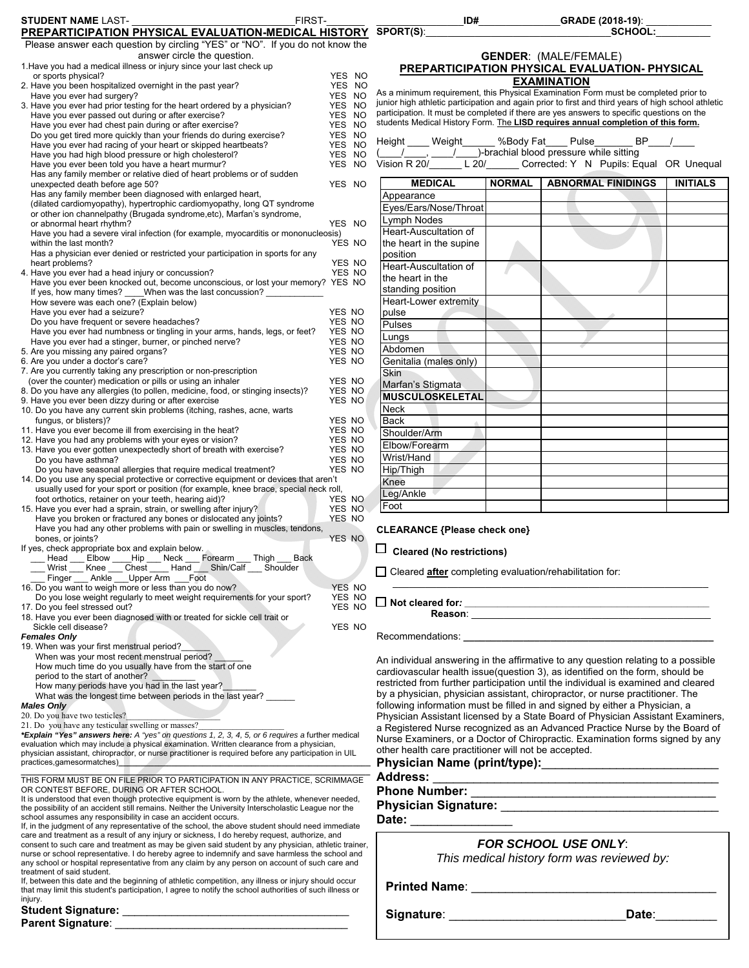| <b>STUDENT NAME LAST-</b>                                                                                                                                                                            | FIRST-      |                  |                                                                  | ID#    | _GRADE (2018-19): _                                                                                                                                                                                                            |                |
|------------------------------------------------------------------------------------------------------------------------------------------------------------------------------------------------------|-------------|------------------|------------------------------------------------------------------|--------|--------------------------------------------------------------------------------------------------------------------------------------------------------------------------------------------------------------------------------|----------------|
| PREPARTICIPATION PHYSICAL EVALUATION-MEDICAL HISTORY SPORT(S):                                                                                                                                       |             |                  |                                                                  |        | <b>SCHOOL:</b>                                                                                                                                                                                                                 |                |
| Please answer each question by circling "YES" or "NO". If you do not know the                                                                                                                        |             |                  |                                                                  |        |                                                                                                                                                                                                                                |                |
| answer circle the question.                                                                                                                                                                          |             |                  |                                                                  |        | <b>GENDER: (MALE/FEMALE)</b>                                                                                                                                                                                                   |                |
| 1. Have you had a medical illness or injury since your last check up<br>or sports physical?                                                                                                          |             | YES NO           |                                                                  |        | PREPARTICIPATION PHYSICAL EVALUATION- PHYSICAL                                                                                                                                                                                 |                |
| 2. Have you been hospitalized overnight in the past year?                                                                                                                                            |             | YES NO           |                                                                  |        | <b>EXAMINATION</b>                                                                                                                                                                                                             |                |
| Have you ever had surgery?                                                                                                                                                                           |             | YES NO           |                                                                  |        | As a minimum requirement, this Physical Examination Form must be completed prior to                                                                                                                                            |                |
| 3. Have you ever had prior testing for the heart ordered by a physician?                                                                                                                             |             | YES NO           |                                                                  |        | junior high athletic participation and again prior to first and third years of high school athletic<br>participation. It must be completed if there are yes answers to specific questions on the                               |                |
| Have you ever passed out during or after exercise?                                                                                                                                                   |             | YES NO           |                                                                  |        | students Medical History Form. The LISD requires annual completion of this form.                                                                                                                                               |                |
| Have you ever had chest pain during or after exercise?<br>Do you get tired more quickly than your friends do during exercise?                                                                        |             | YES NO<br>YES NO |                                                                  |        |                                                                                                                                                                                                                                |                |
| Have you ever had racing of your heart or skipped heartbeats?                                                                                                                                        |             | YES NO           | Height ____ Weight ______ %Body Fat ___ Pulse                    |        |                                                                                                                                                                                                                                | $BP$ /         |
| Have you had high blood pressure or high cholesterol?                                                                                                                                                |             | YES NO           | ( / / / / / / / / / / / brachial blood pressure while sitting    |        |                                                                                                                                                                                                                                |                |
| Have you ever been told you have a heart murmur?                                                                                                                                                     |             | YES NO           |                                                                  |        | Vision R 20/ L 20/ Corrected: Y N Pupils: Equal OR Unequ                                                                                                                                                                       |                |
| Has any family member or relative died of heart problems or of sudden                                                                                                                                |             |                  | <b>MEDICAL</b>                                                   | NORMAL | <b>ABNORMAL FINIDINGS</b>                                                                                                                                                                                                      | <b>INITIAL</b> |
| unexpected death before age 50?<br>Has any family member been diagnosed with enlarged heart,                                                                                                         |             | YES NO           |                                                                  |        |                                                                                                                                                                                                                                |                |
| (dilated cardiomyopathy), hypertrophic cardiomyopathy, long QT syndrome                                                                                                                              |             |                  | Appearance<br>Eyes/Ears/Nose/Throat                              |        |                                                                                                                                                                                                                                |                |
| or other ion channelpathy (Brugada syndrome, etc), Marfan's syndrome,                                                                                                                                |             |                  | Lymph Nodes                                                      |        |                                                                                                                                                                                                                                |                |
| or abnormal heart rhythm?                                                                                                                                                                            |             | YES NO           |                                                                  |        |                                                                                                                                                                                                                                |                |
| Have you had a severe viral infection (for example, myocarditis or mononucleosis)<br>within the last month?                                                                                          |             | YES NO           | Heart-Auscultation of<br>the heart in the supine                 |        |                                                                                                                                                                                                                                |                |
| Has a physician ever denied or restricted your participation in sports for any                                                                                                                       |             |                  | position                                                         |        |                                                                                                                                                                                                                                |                |
| heart problems?                                                                                                                                                                                      |             | YES NO           | Heart-Auscultation of                                            |        |                                                                                                                                                                                                                                |                |
| 4. Have you ever had a head injury or concussion?                                                                                                                                                    |             | YES NO           | the heart in the                                                 |        |                                                                                                                                                                                                                                |                |
| Have you ever been knocked out, become unconscious, or lost your memory? YES NO                                                                                                                      |             |                  | standing position                                                |        |                                                                                                                                                                                                                                |                |
| If yes, how many times? When was the last concussion?<br>How severe was each one? (Explain below)                                                                                                    |             |                  | Heart-Lower extremity                                            |        |                                                                                                                                                                                                                                |                |
| Have you ever had a seizure?                                                                                                                                                                         |             | YES NO           | pulse                                                            |        |                                                                                                                                                                                                                                |                |
| Do you have frequent or severe headaches?                                                                                                                                                            |             | YES NO           | Pulses                                                           |        |                                                                                                                                                                                                                                |                |
| Have you ever had numbness or tingling in your arms, hands, legs, or feet?                                                                                                                           |             | YES NO           | Lungs                                                            |        |                                                                                                                                                                                                                                |                |
| Have you ever had a stinger, burner, or pinched nerve?                                                                                                                                               |             | YES NO           | Abdomen                                                          |        |                                                                                                                                                                                                                                |                |
| 5. Are you missing any paired organs?<br>6. Are you under a doctor's care?                                                                                                                           |             | YES NO<br>YES NO | Genitalia (males only)                                           |        |                                                                                                                                                                                                                                |                |
| 7. Are you currently taking any prescription or non-prescription                                                                                                                                     |             |                  | Skin                                                             |        |                                                                                                                                                                                                                                |                |
| (over the counter) medication or pills or using an inhaler                                                                                                                                           |             | YES NO           | Marfan's Stigmata                                                |        |                                                                                                                                                                                                                                |                |
| 8. Do you have any allergies (to pollen, medicine, food, or stinging insects)?                                                                                                                       |             | YES NO           | <b>MUSCULOSKELETAL</b>                                           |        |                                                                                                                                                                                                                                |                |
| 9. Have you ever been dizzy during or after exercise                                                                                                                                                 |             | YES NO           | <b>Neck</b>                                                      |        |                                                                                                                                                                                                                                |                |
| 10. Do you have any current skin problems (itching, rashes, acne, warts<br>fungus, or blisters)?                                                                                                     |             | YES NO           | <b>Back</b>                                                      |        |                                                                                                                                                                                                                                |                |
| 11. Have you ever become ill from exercising in the heat?                                                                                                                                            |             | YES NO           | Shoulder/Arm                                                     |        |                                                                                                                                                                                                                                |                |
| 12. Have you had any problems with your eyes or vision?                                                                                                                                              |             | YES NO           | Elbow/Forearm                                                    |        |                                                                                                                                                                                                                                |                |
| 13. Have you ever gotten unexpectedly short of breath with exercise?                                                                                                                                 |             | YES NO           | Wrist/Hand                                                       |        |                                                                                                                                                                                                                                |                |
| Do you have asthma?                                                                                                                                                                                  |             | YES NO<br>YES NO | Hip/Thigh                                                        |        |                                                                                                                                                                                                                                |                |
| Do you have seasonal allergies that require medical treatment?<br>14. Do you use any special protective or corrective equipment or devices that aren't                                               |             |                  | Knee                                                             |        |                                                                                                                                                                                                                                |                |
| usually used for your sport or position (for example, knee brace, special neck roll,                                                                                                                 |             |                  | Leg/Ankle                                                        |        |                                                                                                                                                                                                                                |                |
| foot orthotics, retainer on your teeth, hearing aid)?                                                                                                                                                |             | YES NO           |                                                                  |        |                                                                                                                                                                                                                                |                |
| 15. Have you ever had a sprain, strain, or swelling after injury?                                                                                                                                    |             | YES NO           | Foot                                                             |        |                                                                                                                                                                                                                                |                |
| Have you broken or fractured any bones or dislocated any joints?<br>Have you had any other problems with pain or swelling in muscles, tendons,                                                       |             | YES NO           | <b>CLEARANCE {Please check one}</b>                              |        |                                                                                                                                                                                                                                |                |
| bones, or joints?                                                                                                                                                                                    |             | YES NO           |                                                                  |        |                                                                                                                                                                                                                                |                |
| If yes, check appropriate box and explain below.                                                                                                                                                     |             |                  | $\Box$ Cleared (No restrictions)                                 |        |                                                                                                                                                                                                                                |                |
| Head Elbow Hip Neck<br>Thigh<br>Forearm                                                                                                                                                              | <b>Back</b> |                  |                                                                  |        |                                                                                                                                                                                                                                |                |
| Wrist Knee Chest Hand Shin/Calf Shoulder<br>Finger __ Ankle __Upper Arm __ Foot                                                                                                                      |             |                  | □ Cleared <b>after</b> completing evaluation/rehabilitation for: |        |                                                                                                                                                                                                                                |                |
| 16. Do you want to weigh more or less than you do now?                                                                                                                                               |             | YES NO           |                                                                  |        |                                                                                                                                                                                                                                |                |
| Do you lose weight regularly to meet weight requirements for your sport?                                                                                                                             |             | YES NO           |                                                                  |        |                                                                                                                                                                                                                                |                |
| 17. Do you feel stressed out?                                                                                                                                                                        |             | YES NO           |                                                                  |        |                                                                                                                                                                                                                                |                |
| 18. Have you ever been diagnosed with or treated for sickle cell trait or<br>Sickle cell disease?                                                                                                    |             | YES NO           |                                                                  |        |                                                                                                                                                                                                                                |                |
| <b>Females Only</b>                                                                                                                                                                                  |             |                  |                                                                  |        | Recommendations: with a state of the state of the state of the state of the state of the state of the state of the state of the state of the state of the state of the state of the state of the state of the state of the sta |                |
| 19. When was your first menstrual period?_                                                                                                                                                           |             |                  |                                                                  |        |                                                                                                                                                                                                                                |                |
| When was your most recent menstrual period?                                                                                                                                                          |             |                  |                                                                  |        | An individual answering in the affirmative to any question relating to a possible                                                                                                                                              |                |
| How much time do you usually have from the start of one<br>period to the start of another?                                                                                                           |             |                  |                                                                  |        | cardiovascular health issue(question 3), as identified on the form, should be                                                                                                                                                  |                |
| How many periods have you had in the last year?                                                                                                                                                      |             |                  |                                                                  |        | restricted from further participation until the individual is examined and cleare                                                                                                                                              |                |
| What was the longest time between periods in the last year?                                                                                                                                          |             |                  |                                                                  |        | by a physician, physician assistant, chiropractor, or nurse practitioner. The                                                                                                                                                  |                |
| <b>Males Only</b>                                                                                                                                                                                    |             |                  |                                                                  |        | following information must be filled in and signed by either a Physician, a                                                                                                                                                    |                |
| 20. Do you have two testicles?<br>21. Do you have any testicular swelling or masses?                                                                                                                 |             |                  |                                                                  |        | Physician Assistant licensed by a State Board of Physician Assistant Examine                                                                                                                                                   |                |
| *Explain "Yes" answers here: A "yes" on questions 1, 2, 3, 4, 5, or 6 requires a further medical                                                                                                     |             |                  |                                                                  |        | a Registered Nurse recognized as an Advanced Practice Nurse by the Board                                                                                                                                                       |                |
| evaluation which may include a physical examination. Written clearance from a physician,                                                                                                             |             |                  |                                                                  |        | Nurse Examiners, or a Doctor of Chiropractic. Examination forms signed by a                                                                                                                                                    |                |
| physician assistant, chiropractor, or nurse practitioner is required before any participation in UIL<br>practices,gamesormatches)                                                                    |             |                  | other health care practitioner will not be accepted.             |        |                                                                                                                                                                                                                                |                |
|                                                                                                                                                                                                      |             |                  |                                                                  |        |                                                                                                                                                                                                                                |                |
| THIS FORM MUST BE ON FILE PRIOR TO PARTICIPATION IN ANY PRACTICE, SCRIMMAGE                                                                                                                          |             |                  | <b>Address:</b>                                                  |        |                                                                                                                                                                                                                                |                |
| OR CONTEST BEFORE, DURING OR AFTER SCHOOL.<br>It is understood that even though protective equipment is worn by the athlete, whenever needed,                                                        |             |                  |                                                                  |        |                                                                                                                                                                                                                                |                |
| the possibility of an accident still remains. Neither the University Interscholastic League nor the                                                                                                  |             |                  |                                                                  |        |                                                                                                                                                                                                                                |                |
| school assumes any responsibility in case an accident occurs.                                                                                                                                        |             |                  | Date: _______________                                            |        |                                                                                                                                                                                                                                |                |
| If, in the judgment of any representative of the school, the above student should need immediate                                                                                                     |             |                  |                                                                  |        |                                                                                                                                                                                                                                |                |
| care and treatment as a result of any injury or sickness, I do hereby request, authorize, and<br>consent to such care and treatment as may be given said student by any physician, athletic trainer, |             |                  |                                                                  |        | <b>FOR SCHOOL USE ONLY:</b>                                                                                                                                                                                                    |                |
| nurse or school representative. I do hereby agree to indemnify and save harmless the school and                                                                                                      |             |                  |                                                                  |        | This medical history form was reviewed by:                                                                                                                                                                                     |                |
| any school or hospital representative from any claim by any person on account of such care and                                                                                                       |             |                  |                                                                  |        |                                                                                                                                                                                                                                |                |
| treatment of said student.<br>If, between this date and the beginning of athletic competition, any illness or injury should occur                                                                    |             |                  |                                                                  |        |                                                                                                                                                                                                                                |                |
| that may limit this student's participation, I agree to notify the school authorities of such illness or                                                                                             |             |                  |                                                                  |        |                                                                                                                                                                                                                                |                |
| injury.                                                                                                                                                                                              |             |                  |                                                                  |        |                                                                                                                                                                                                                                |                |
| <b>Student Signature:</b>                                                                                                                                                                            |             |                  | Sianaturo <sup>.</sup>                                           |        | Date:                                                                                                                                                                                                                          |                |

| <b>ULUUGIIL UIYIIULUI G.</b> |  |
|------------------------------|--|
| <b>Parent Signature:</b>     |  |

|                       | ID# | <b>GRADE (2018-19):</b>      |  |
|-----------------------|-----|------------------------------|--|
| SPORT(S) <sup>.</sup> |     | <b>SCHOOL:</b>               |  |
|                       |     |                              |  |
|                       |     | <b>GENDER: (MALE/FEMALE)</b> |  |

## **PREPARTICIPATION PHYSICAL EVALUATION- PHYSICAL EXAMINATION**

| Height       | Weight | %Bodv Fat                               | Pulse | RP |                                         |
|--------------|--------|-----------------------------------------|-------|----|-----------------------------------------|
|              |        | )-brachial blood pressure while sitting |       |    |                                         |
| Vision R 20/ | L20/   |                                         |       |    | Corrected: Y N Pupils: Equal OR Unequal |

| <b>MEDICAL</b>          | <b>NORMAL</b> | <b>ABNORMAL FINIDINGS</b> | <b>INITIALS</b> |
|-------------------------|---------------|---------------------------|-----------------|
| Appearance              |               |                           |                 |
| Eyes/Ears/Nose/Throat   |               |                           |                 |
| Lymph Nodes             |               |                           |                 |
| Heart-Auscultation of   |               |                           |                 |
| the heart in the supine |               |                           |                 |
| position                |               |                           |                 |
| Heart-Auscultation of   |               |                           |                 |
| the heart in the        |               |                           |                 |
| standing position       |               |                           |                 |
| Heart-Lower extremity   |               |                           |                 |
| pulse                   |               |                           |                 |
| Pulses                  |               |                           |                 |
| Lungs                   |               |                           |                 |
| Abdomen                 |               |                           |                 |
| Genitalia (males only)  |               |                           |                 |
| <b>Skin</b>             |               |                           |                 |
| Marfan's Stigmata       |               |                           |                 |
| <b>MUSCULOSKELETAL</b>  |               |                           |                 |
| <b>Neck</b>             |               |                           |                 |
| <b>Back</b>             |               |                           |                 |
| Shoulder/Arm            |               |                           |                 |
| Elbow/Forearm           |               |                           |                 |
| Wrist/Hand              |               |                           |                 |
| Hip/Thigh               |               |                           |                 |
| Knee                    |               |                           |                 |
| Leg/Ankle               |               |                           |                 |
| Foot                    |               |                           |                 |

### **CLEARANCE {Please check one}**

#### **Physician Name (print/type):**\_\_\_\_\_\_\_\_\_\_\_\_\_\_\_\_\_\_\_\_\_\_\_\_\_\_

| .<br>- 11<br><b>Address:</b> | . |  |
|------------------------------|---|--|
| <b>Phone Number:</b>         |   |  |
|                              |   |  |

## **Physician Signature:** \_\_\_\_\_\_\_\_\_\_\_\_\_\_\_\_\_\_\_\_\_\_\_\_\_\_\_\_\_\_\_\_

## *FOR SCHOOL USE ONLY*:

| <b>Printed Name:</b> |
|----------------------|
|----------------------|

**Signature**: \_\_\_\_\_\_\_\_\_\_\_\_\_\_\_\_\_\_\_\_\_\_\_\_\_\_**Date**:\_\_\_\_\_\_\_\_\_